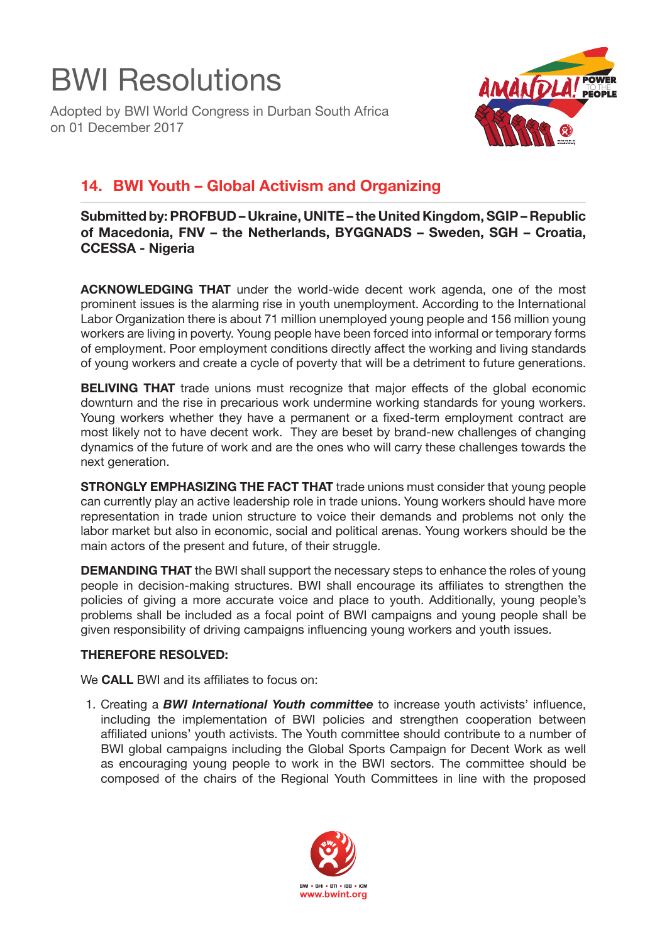## BWI Resolutions

Adopted by BWI World Congress in Durban South Africa on 01 December 2017



## **14. BWI Youth – Global Activism and Organizing**

**Submitted by: PROFBUD – Ukraine, UNITE – the United Kingdom, SGIP – Republic of Macedonia, FNV – the Netherlands, BYGGNADS – Sweden, SGH – Croatia, CCESSA - Nigeria**

**ACKNOWLEDGING THAT** under the world-wide decent work agenda, one of the most prominent issues is the alarming rise in youth unemployment. According to the International Labor Organization there is about 71 million unemployed young people and 156 million young workers are living in poverty. Young people have been forced into informal or temporary forms of employment. Poor employment conditions directly affect the working and living standards of young workers and create a cycle of poverty that will be a detriment to future generations.

**BELIVING THAT** trade unions must recognize that major effects of the global economic downturn and the rise in precarious work undermine working standards for young workers. Young workers whether they have a permanent or a fixed-term employment contract are most likely not to have decent work. They are beset by brand-new challenges of changing dynamics of the future of work and are the ones who will carry these challenges towards the next generation.

**STRONGLY EMPHASIZING THE FACT THAT** trade unions must consider that young people can currently play an active leadership role in trade unions. Young workers should have more representation in trade union structure to voice their demands and problems not only the labor market but also in economic, social and political arenas. Young workers should be the main actors of the present and future, of their struggle.

**DEMANDING THAT** the BWI shall support the necessary steps to enhance the roles of young people in decision-making structures. BWI shall encourage its affiliates to strengthen the policies of giving a more accurate voice and place to youth. Additionally, young people's problems shall be included as a focal point of BWI campaigns and young people shall be given responsibility of driving campaigns influencing young workers and youth issues.

## **THEREFORE RESOLVED:**

We **CALL** BWI and its affiliates to focus on:

1. Creating a *BWI International Youth committee* to increase youth activists' influence, including the implementation of BWI policies and strengthen cooperation between affiliated unions' youth activists. The Youth committee should contribute to a number of BWI global campaigns including the Global Sports Campaign for Decent Work as well as encouraging young people to work in the BWI sectors. The committee should be composed of the chairs of the Regional Youth Committees in line with the proposed